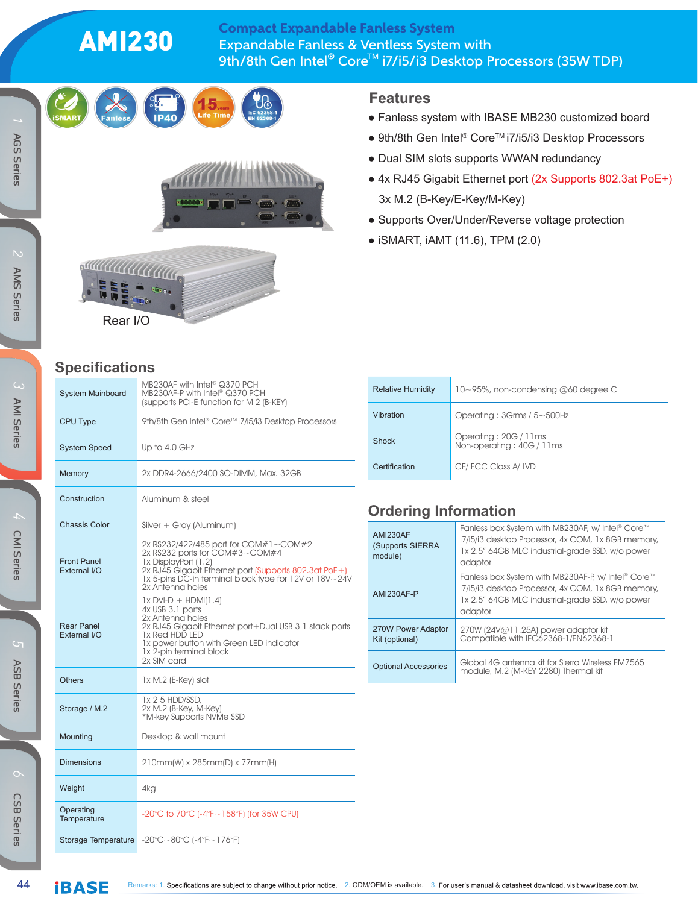# AMI230

#### Expandable Fanless & Ventless System with 9th/8th Gen Intel® Core™ i7/i5/i3 Desktop Processors (35W TDP) Compact Expandable Fanless System

**Features**



*6*









### **Specifications**

| <b>System Mainboard</b>            | MB230AF with Intel® Q370 PCH<br>MB230AF-P with Intel® Q370 PCH<br>(supports PCI-E function for M.2 (B-KEY)                                                                                                                             |  |  |  |
|------------------------------------|----------------------------------------------------------------------------------------------------------------------------------------------------------------------------------------------------------------------------------------|--|--|--|
| CPU Type                           | 9th/8th Gen Intel® Core™i7/i5/i3 Desktop Processors                                                                                                                                                                                    |  |  |  |
| <b>System Speed</b>                | Up to 4.0 GHz                                                                                                                                                                                                                          |  |  |  |
| Memory                             | 2x DDR4-2666/2400 SO-DIMM, Max. 32GB                                                                                                                                                                                                   |  |  |  |
| Construction                       | Aluminum & steel                                                                                                                                                                                                                       |  |  |  |
| <b>Chassis Color</b>               | Silver + Gray (Aluminum)                                                                                                                                                                                                               |  |  |  |
| <b>Front Panel</b><br>External I/O | 2x RS232/422/485 port for COM#1~COM#2<br>2x RS232 ports for COM#3~COM#4<br>1x DisplayPort (1.2)<br>2x RJ45 Gigabit Ethernet port (Supports 802.3at PoE+)<br>1x 5-pins DC-in terminal block type for 12V or 18V~24V<br>2x Antenna holes |  |  |  |
| <b>Rear Panel</b><br>External I/O  | $1x$ DVI-D + HDMI(1.4)<br>4x USB 3.1 ports<br>2x Antenna holes<br>2x RJ45 Gigabit Ethernet port+Dual USB 3.1 stack ports<br>1x Red HDD LED<br>1x power button with Green LED indicator<br>1x 2-pin terminal block<br>2x SIM card       |  |  |  |
| <b>Others</b>                      | 1x M.2 (E-Key) slot                                                                                                                                                                                                                    |  |  |  |
| Storage / M.2                      | 1x 2.5 HDD/SSD,<br>2x M.2 (B-Key, M-Key)<br>*M-key Supports NVMe SSD                                                                                                                                                                   |  |  |  |
| Mounting                           | Desktop & wall mount                                                                                                                                                                                                                   |  |  |  |
| <b>Dimensions</b>                  | 210mm(W) x 285mm(D) x 77mm(H)                                                                                                                                                                                                          |  |  |  |
| Weight                             | 4kg                                                                                                                                                                                                                                    |  |  |  |
| Operating<br>Temperature           | -20°C to 70°C (-4°F~158°F) (for 35W CPU)                                                                                                                                                                                               |  |  |  |
| Storage Temperature                | $-20^{\circ}$ C ~ 80 $^{\circ}$ C (-4 $^{\circ}$ F ~ 176 $^{\circ}$ F)                                                                                                                                                                 |  |  |  |

| <b>Relative Humidity</b> | $10\neg 95\%$ , non-condensing @60 degree C        |  |  |  |
|--------------------------|----------------------------------------------------|--|--|--|
| Vibration                | Operating: $3Grms / 5 \sim 500 Hz$                 |  |  |  |
| <b>Shock</b>             | Operating: 20G / 11ms<br>Non-operating: 40G / 11ms |  |  |  |
| Certification            | CE/FCC Class A/LVD                                 |  |  |  |

● Fanless system with IBASE MB230 customized board ● 9th/8th Gen Intel® Core™ i7/i5/i3 Desktop Processors

● 4x RJ45 Gigabit Ethernet port (2x Supports 802.3at PoE+)

• Dual SIM slots supports WWAN redundancy

● Supports Over/Under/Reverse voltage protection

3x M.2 (B-Key/E-Key/M-Key)

● iSMART, iAMT (11.6), TPM (2.0)

### **Ordering Information**

| AMI230AF<br>(Supports SIERRA<br>module) | Fanless box System with MB230AF, w/ Intel® Core™<br>i7/i5/i3 desktop Processor, 4x COM, 1x 8GB memory,<br>1x 2.5" 64GB MLC industrial-grade SSD, w/o power<br>adaptor   |  |  |
|-----------------------------------------|-------------------------------------------------------------------------------------------------------------------------------------------------------------------------|--|--|
| AMI230AF-P                              | Fanless box System with MB230AF-P, w/ Intel® Core™<br>i7/i5/i3 desktop Processor, 4x COM, 1x 8GB memory,<br>1x 2.5" 64GB MLC industrial-grade SSD, w/o power<br>adaptor |  |  |
| 270W Power Adaptor<br>Kit (optional)    | 270W (24V@11.25A) power adaptor kit<br>Compatible with IEC62368-1/EN62368-1                                                                                             |  |  |
| <b>Optional Accessories</b>             | Global 4G antenna kit for Sierra Wireless EM7565<br>module, M.2 (M-KEY 2280) Thermal kit                                                                                |  |  |